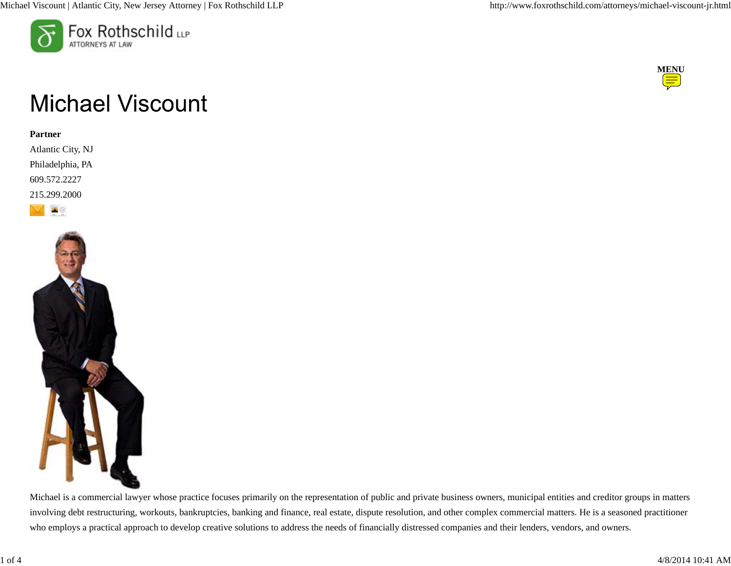



# **Michael Viscount**

### **Partner**

Atlantic City, NJ Philadelphia, PA 609.572.2227 215.299.2000





Michael is a commercial lawyer whose practice focuses primarily on the representation of public and private business owners, municipal entities and creditor groups in matters involving debt restructuring, workouts, bankruptcies, banking and finance, real estate, dispute resolution, and other complex commercial matters. He is a seasoned practitioner who employs a practical approach to develop creative solutions to address the needs of financially distressed companies and their lenders, vendors, and owners.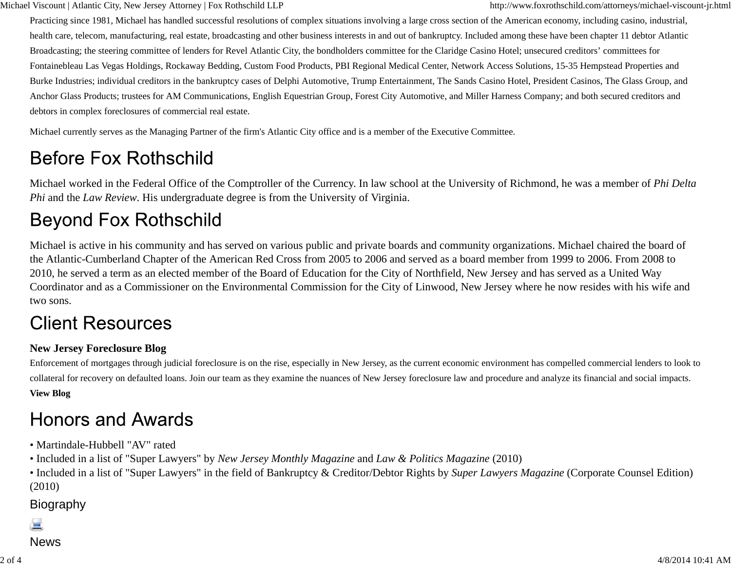Michael Viscount | Atlantic City, New Jersey Attorney | Fox Rothschild LLP http://www.foxrothschild.com/attorneys/michael-viscount-jr.html

Practicing since 1981, Michael has handled successful resolutions of complex situations involving a large cross section of the American economy, including casino, industrial, health care, telecom, manufacturing, real estate, broadcasting and other business interests in and out of bankruptcy. Included among these have been chapter 11 debtor Atlantic Broadcasting; the steering committee of lenders for Revel Atlantic City, the bondholders committee for the Claridge Casino Hotel; unsecured creditors' committees for Fontainebleau Las Vegas Holdings, Rockaway Bedding, Custom Food Products, PBI Regional Medical Center, Network Access Solutions, 15-35 Hempstead Properties and Burke Industries; individual creditors in the bankruptcy cases of Delphi Automotive, Trump Entertainment, The Sands Casino Hotel, President Casinos, The Glass Group, and Anchor Glass Products; trustees for AM Communications, English Equestrian Group, Forest City Automotive, and Miller Harness Company; and both secured creditors and debtors in complex foreclosures of commercial real estate.

Michael currently serves as the Managing Partner of the firm's Atlantic City office and is a member of the Executive Committee.

# **Before Fox Rothschild**

Michael worked in the Federal Office of the Comptroller of the Currency. In law school at the University of Richmond, he was a member of *Phi Delta Phi* and the *Law Review*. His undergraduate degree is from the University of Virginia.

# **Beyond Fox Rothschild**

Michael is active in his community and has served on various public and private boards and community organizations. Michael chaired the board of the Atlantic-Cumberland Chapter of the American Red Cross from 2005 to 2006 and served as a board member from 1999 to 2006. From 2008 to 2010, he served a term as an elected member of the Board of Education for the City of Northfield, New Jersey and has served as a United Way Coordinator and as a Commissioner on the Environmental Commission for the City of Linwood, New Jersey where he now resides with his wife and two sons.

# **Client Resources**

## **New Jersey Foreclosure Blog**

Enforcement of mortgages through judicial foreclosure is on the rise, especially in New Jersey, as the current economic environment has compelled commercial lenders to look to collateral for recovery on defaulted loans. Join our team as they examine the nuances of New Jersey foreclosure law and procedure and analyze its financial and social impacts. **View Blog**

# **Honors and Awards**

- Martindale-Hubbell "AV" rated
- Included in a list of "Super Lawyers" by *New Jersey Monthly Magazine* and *Law & Politics Magazine* (2010)
- Included in a list of "Super Lawyers" in the field of Bankruptcy & Creditor/Debtor Rights by *Super Lawyers Magazine* (Corporate Counsel Edition) (2010)

# Biography

### News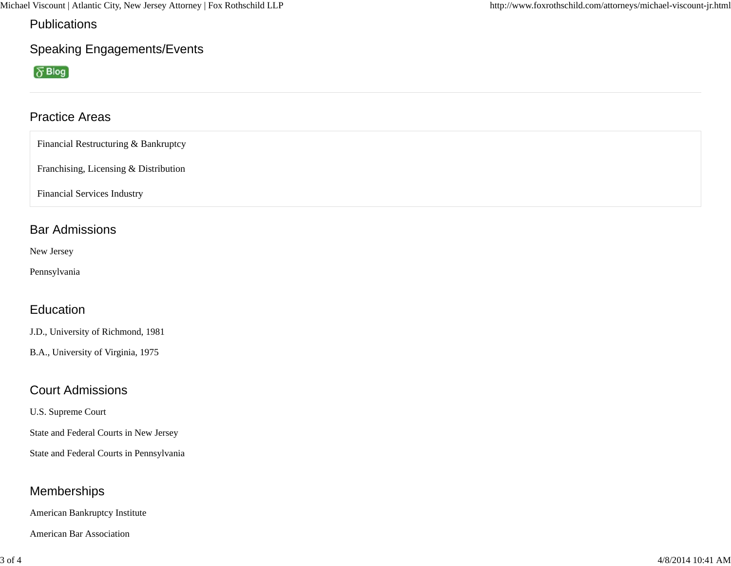Michael Viscount | Atlantic City, New Jersey Attorney | Fox Rothschild LLP http://www.foxrothschild.com/attorneys/michael-viscount-jr.html

Publications

Speaking Engagements/Events

 $\sqrt[3]{Blog}$ 

## Practice Areas

Financial Restructuring & Bankruptcy

Franchising, Licensing & Distribution

Financial Services Industry

## Bar Admissions

New Jersey

Pennsylvania

## Education

J.D., University of Richmond, 1981

B.A., University of Virginia, 1975

## Court Admissions

U.S. Supreme Court

State and Federal Courts in New Jersey

State and Federal Courts in Pennsylvania

## Memberships

American Bankruptcy Institute

American Bar Association